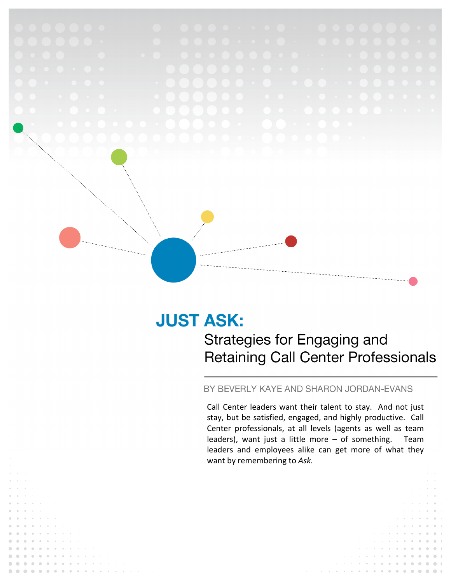

# **JUST ASK:**

Strategies for Engaging and **Retaining Call Center Professionals** 

# BY BEVERLY KAYE AND SHARON JORDAN-EVANS

Call Center leaders want their talent to stay. And not just stay, but be satisfied, engaged, and highly productive. Call Center professionals, at all levels (agents as well as team leaders), want just a little more  $-$  of something. Team leaders and employees alike can get more of what they want by remembering to Ask.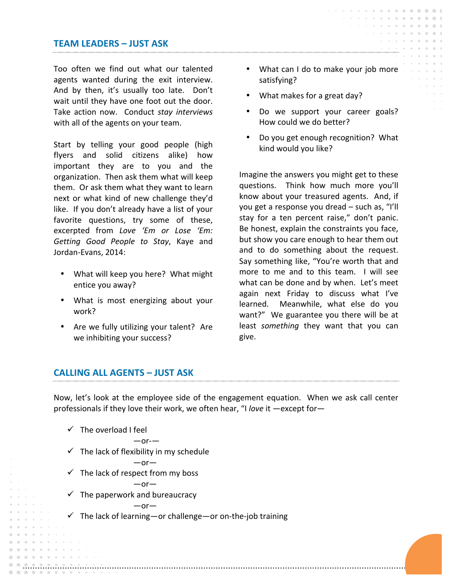# **TEAM LEADERS – JUST ASK**

Too often we find out what our talented agents wanted during the exit interview. And by then, it's usually too late. Don't wait until they have one foot out the door. Take action now. Conduct stay interviews with all of the agents on your team.

Start by telling your good people (high flyers and solid citizens alike) how important they are to you and the organization. Then ask them what will keep them. Or ask them what they want to learn next or what kind of new challenge they'd like. If you don't already have a list of your favorite questions, try some of these, excerpted from *Love 'Em or Lose 'Em: Getting Good People to Stay*, Kaye and Jordan-Evans, 2014:

- What will keep you here? What might entice you away?
- What is most energizing about your work?
- Are we fully utilizing your talent? Are we inhibiting your success?
- What can I do to make your job more satisfying?
- What makes for a great day?
- Do we support your career goals? How could we do better?
- Do you get enough recognition? What kind would you like?

Imagine the answers you might get to these questions. Think how much more you'll know about your treasured agents. And, if you get a response you dread – such as, "I'll stay for a ten percent raise," don't panic. Be honest, explain the constraints you face, but show you care enough to hear them out and to do something about the request. Say something like, "You're worth that and more to me and to this team. I will see what can be done and by when. Let's meet again next Friday to discuss what I've learned. Meanwhile, what else do you want?" We guarantee you there will be at least *something* they want that you can give.

## **CALLING ALL AGENTS – JUST ASK**

Now, let's look at the employee side of the engagement equation. When we ask call center professionals if they love their work, we often hear, "I love it —except for—



 $-$ or- $-$ 

—or—

—or—

- $\checkmark$  The lack of flexibility in my schedule
- $\checkmark$  The lack of respect from my boss

 $-$ or $-$ 

 $\checkmark$  The paperwork and bureaucracy

 $\checkmark$  The lack of learning—or challenge—or on-the-job training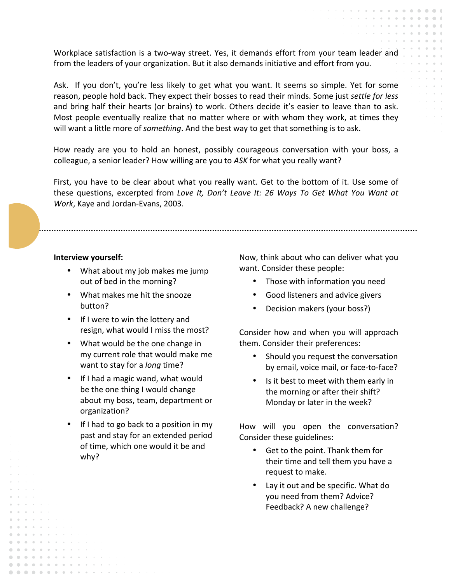Workplace satisfaction is a two-way street. Yes, it demands effort from your team leader and from the leaders of your organization. But it also demands initiative and effort from you.

Ask. If you don't, you're less likely to get what you want. It seems so simple. Yet for some reason, people hold back. They expect their bosses to read their minds. Some just *settle for less* and bring half their hearts (or brains) to work. Others decide it's easier to leave than to ask. Most people eventually realize that no matter where or with whom they work, at times they will want a little more of *something*. And the best way to get that something is to ask.

How ready are you to hold an honest, possibly courageous conversation with your boss, a colleague, a senior leader? How willing are you to ASK for what you really want?

First, you have to be clear about what you really want. Get to the bottom of it. Use some of these questions, excerpted from *Love It, Don't Leave It: 26 Ways To Get What You Want at Work*, Kaye and Jordan-Evans, 2003.

#### **Interview yourself:**

. . . . . . . . . . . . . . . . . . . . .

- What about my job makes me jump out of bed in the morning?
- What makes me hit the snooze button?
- If I were to win the lottery and resign, what would I miss the most?
- What would be the one change in my current role that would make me want to stay for a *long* time?
- If I had a magic wand, what would be the one thing I would change about my boss, team, department or organization?
- If I had to go back to a position in my past and stay for an extended period of time, which one would it be and why?

Now, think about who can deliver what you want. Consider these people:

- Those with information you need
- Good listeners and advice givers
- Decision makers (your boss?)

Consider how and when you will approach them. Consider their preferences:

- Should you request the conversation by email, voice mail, or face-to-face?
- Is it best to meet with them early in the morning or after their shift? Monday or later in the week?

How will you open the conversation? Consider these guidelines:

- Get to the point. Thank them for their time and tell them you have a request to make.
- Lay it out and be specific. What do you need from them? Advice? Feedback? A new challenge?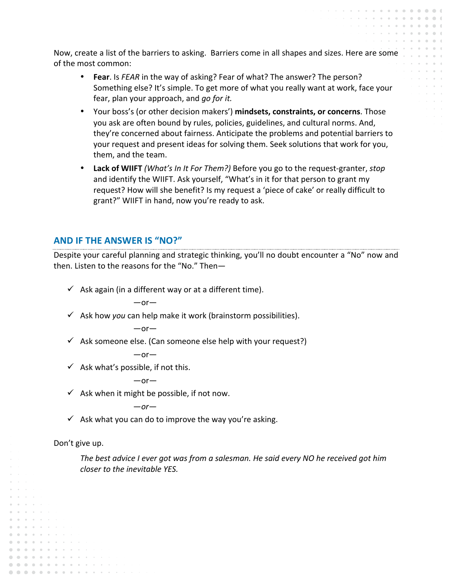Now, create a list of the barriers to asking. Barriers come in all shapes and sizes. Here are some of the most common:

- **Fear**. Is FEAR in the way of asking? Fear of what? The answer? The person? Something else? It's simple. To get more of what you really want at work, face your fear, plan your approach, and *go for it.*
- Your boss's (or other decision makers') **mindsets, constraints, or concerns**. Those you ask are often bound by rules, policies, guidelines, and cultural norms. And, they're concerned about fairness. Anticipate the problems and potential barriers to your request and present ideas for solving them. Seek solutions that work for you, them, and the team.
- Lack of WIIFT *(What's In It For Them?)* Before you go to the request-granter, *stop* and identify the WIIFT. Ask yourself, "What's in it for that person to grant my request? How will she benefit? Is my request a 'piece of cake' or really difficult to grant?" WIIFT in hand, now you're ready to ask.

# **AND IF THE ANSWER IS "NO?"**

Despite your careful planning and strategic thinking, you'll no doubt encounter a "No" now and then. Listen to the reasons for the "No." Then-

 $\checkmark$  Ask again (in a different way or at a different time).

—or—

 $\checkmark$  Ask how *you* can help make it work (brainstorm possibilities).

—or—

 $\checkmark$  Ask someone else. (Can someone else help with your request?)

 $-$ or $-$ 

 $\checkmark$  Ask what's possible, if not this.

—or*—*

 $\checkmark$  Ask when it might be possible, if not now.

—*or—*

 $\checkmark$  Ask what you can do to improve the way you're asking.

Don't give up.

. . . . . . . . . . . . . . . . . . . . . . . . . .

The best advice I ever got was from a salesman. He said every NO he received got him *closer to the inevitable YES.*